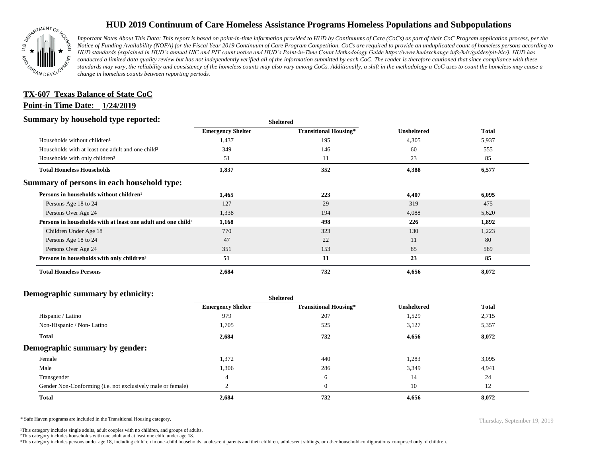

## **HUD 2019 Continuum of Care Homeless Assistance Programs Homeless Populations and Subpopulations**

*Important Notes About This Data: This report is based on point-in-time information provided to HUD by Continuums of Care (CoCs) as part of their CoC Program application process, per the Notice of Funding Availability (NOFA) for the Fiscal Year 2019 Continuum of Care Program Competition. CoCs are required to provide an unduplicated count of homeless persons according to HUD standards (explained in HUD's annual HIC and PIT count notice and HUD's Point-in-Time Count Methodology Guide https://www.hudexchange.info/hdx/guides/pit-hic/). HUD has conducted a limited data quality review but has not independently verified all of the information submitted by each CoC. The reader is therefore cautioned that since compliance with these*  standards may vary, the reliability and consistency of the homeless counts may also vary among CoCs. Additionally, a shift in the methodology a CoC uses to count the homeless may cause a *change in homeless counts between reporting periods.*

## **Point-in Time Date: 1/24/2019 TX-607 Texas Balance of State CoC**

#### **Summary by household type reported:**

| $\overline{\phantom{a}}$<br>$\cdot$<br>ັັ⊥                               |                          | эненеген                     |                    |              |
|--------------------------------------------------------------------------|--------------------------|------------------------------|--------------------|--------------|
|                                                                          | <b>Emergency Shelter</b> | <b>Transitional Housing*</b> | <b>Unsheltered</b> | <b>Total</b> |
| Households without children <sup>1</sup>                                 | 1,437                    | 195                          | 4,305              | 5,937        |
| Households with at least one adult and one child?                        | 349                      | 146                          | 60                 | 555          |
| Households with only children <sup>3</sup>                               | 51                       | 11                           | 23                 | 85           |
| <b>Total Homeless Households</b>                                         | 1,837                    | 352                          | 4,388              | 6,577        |
| Summary of persons in each household type:                               |                          |                              |                    |              |
| Persons in households without children <sup>1</sup>                      | 1,465                    | 223                          | 4,407              | 6,095        |
| Persons Age 18 to 24                                                     | 127                      | 29                           | 319                | 475          |
| Persons Over Age 24                                                      | 1,338                    | 194                          | 4,088              | 5,620        |
| Persons in households with at least one adult and one child <sup>2</sup> | 1,168                    | 498                          | 226                | 1,892        |
| Children Under Age 18                                                    | 770                      | 323                          | 130                | 1,223        |
| Persons Age 18 to 24                                                     | 47                       | 22                           | 11                 | 80           |
| Persons Over Age 24                                                      | 351                      | 153                          | 85                 | 589          |
| Persons in households with only children <sup>3</sup>                    | 51                       | 11                           | 23                 | 85           |
| <b>Total Homeless Persons</b>                                            | 2,684                    | 732                          | 4,656              | 8,072        |

**Sheltered**

#### **Demographic summary by ethnicity:**

|                                                             | sneuerea                 |                              |                    |              |
|-------------------------------------------------------------|--------------------------|------------------------------|--------------------|--------------|
|                                                             | <b>Emergency Shelter</b> | <b>Transitional Housing*</b> | <b>Unsheltered</b> | <b>Total</b> |
| Hispanic / Latino                                           | 979                      | 207                          | 1,529              | 2,715        |
| Non-Hispanic / Non-Latino                                   | 1,705                    | 525                          | 3,127              | 5,357        |
| Total                                                       | 2,684                    | 732                          | 4,656              | 8,072        |
| Demographic summary by gender:                              |                          |                              |                    |              |
| Female                                                      | 1,372                    | 440                          | 1,283              | 3,095        |
| Male                                                        | 1,306                    | 286                          | 3,349              | 4,941        |
| Transgender                                                 | $\overline{4}$           | 6                            | 14                 | 24           |
| Gender Non-Conforming (i.e. not exclusively male or female) | $\overline{2}$           | $\mathbf{0}$                 | 10                 | 12           |
| <b>Total</b>                                                | 2,684                    | 732                          | 4,656              | 8,072        |
|                                                             |                          |                              |                    |              |

**Sheltered**

\* Safe Haven programs are included in the Transitional Housing category. Thursday, September 19, 2019

<sup>1</sup>This category includes single adults, adult couples with no children, and groups of adults.

²This category includes households with one adult and at least one child under age 18.

³This category includes persons under age 18, including children in one -child households, adolescent parents and their children, adolescent siblings, or other household configurations composed only of children.